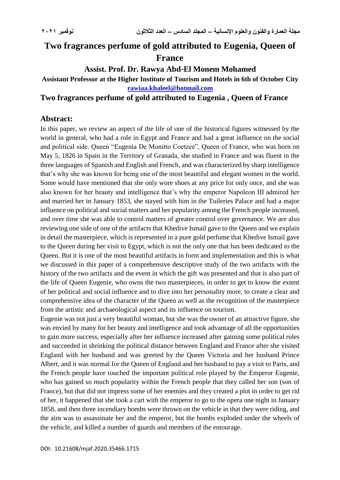# **Two fragrances perfume of gold attributed to Eugenia, Queen of France**

### **Assist. Prof. Dr. Rawya Abd-El Monem Mohamed**

#### **Assistant Professor at the Higher Institute of Tourism and Hotels in 6th of October City [rawiaa.khaleel@hotmail.com](mailto:rawiaa.khaleel@hotmail.com)**

#### **Two fragrances perfume of gold attributed to Eugenia , Queen of France**

### **Abstract:**

In this paper, we review an aspect of the life of one of the historical figures witnessed by the world in general, who had a role in Egypt and France and had a great influence on the social and political side. Queen "Eugenia De Monitto Coetzee", Queen of France, who was born on May 5, 1826 in Spain in the Territory of Granada, she studied in France and was fluent in the three languages of Spanish and English and French, and was characterized by sharp intelligence that's why she was known for being one of the most beautiful and elegant women in the world. Some would have mentioned that she only wore shoes at any price for only once, and she was also known for her beauty and intelligence that's why the emperor Napoleon III admired her and married her in January 1853, she stayed with him in the Tuileries Palace and had a major influence on political and social matters and her popularity among the French people increased, and over time she was able to control matters of greater control over governance. We are also reviewing one side of one of the artifacts that Khedive Ismail gave to the Queen and we explain in detail the masterpiece, which is represented in a pure gold perfume that Khedive Ismail gave to the Queen during her visit to Egypt, which is not the only one that has been dedicated to the Queen. But it is one of the most beautiful artifacts in form and implementation and this is what we discussed in this paper of a comprehensive descriptive study of the two artifacts with the history of the two artifacts and the event in which the gift was presented and that is also part of the life of Queen Eugenie, who owns the two masterpieces, in order to get to know the extent of her political and social influence and to dive into her personality more, to create a clear and comprehensive idea of the character of the Queen as well as the recognition of the masterpiece from the artistic and archaeological aspect and its influence on tourism.

Eugenie was not just a very beautiful woman, but she was the owner of an attractive figure, she was envied by many for her beauty and intelligence and took advantage of all the opportunities to gain more success, especially after her influence increased after gaining some political roles and succeeded in shrinking the political distance between England and France after she visited England with her husband and was greeted by the Queen Victoria and her husband Prince Albert, and it was normal for the Queen of England and her husband to pay a visit to Paris, and the French people have touched the important political role played by the Emperor Eugenie, who has gained so much popularity within the French people that they called her son (son of France), but that did not impress some of her enemies and they created a plot in order to get rid of her, it happened that she took a cart with the emperor to go to the opera one night in January 1858, and then three incendiary bombs were thrown on the vehicle in that they were riding, and the aim was to assassinate her and the emperor, but the bombs exploded under the wheels of the vehicle, and killed a number of guards and members of the entourage.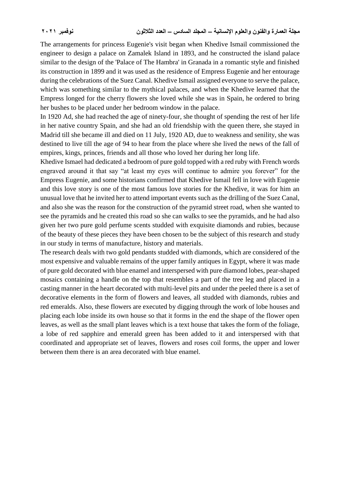The arrangements for princess Eugenie's visit began when Khedive Ismail commissioned the engineer to design a palace on Zamalek Island in 1893, and he constructed the island palace similar to the design of the 'Palace of The Hambra' in Granada in a romantic style and finished its construction in 1899 and it was used as the residence of Empress Eugenie and her entourage during the celebrations of the Suez Canal. Khedive Ismail assigned everyone to serve the palace, which was something similar to the mythical palaces, and when the Khedive learned that the Empress longed for the cherry flowers she loved while she was in Spain, he ordered to bring her bushes to be placed under her bedroom window in the palace.

In 1920 Ad, she had reached the age of ninety-four, she thought of spending the rest of her life in her native country Spain, and she had an old friendship with the queen there, she stayed in Madrid till she became ill and died on 11 July, 1920 AD, due to weakness and senility, she was destined to live till the age of 94 to hear from the place where she lived the news of the fall of empires, kings, princes, friends and all those who loved her during her long life.

Khedive Ismael had dedicated a bedroom of pure gold topped with a red ruby with French words engraved around it that say "at least my eyes will continue to admire you forever" for the Empress Eugenie, and some historians confirmed that Khedive Ismail fell in love with Eugenie and this love story is one of the most famous love stories for the Khedive, it was for him an unusual love that he invited her to attend important events such as the drilling of the Suez Canal, and also she was the reason for the construction of the pyramid street road, when she wanted to see the pyramids and he created this road so she can walks to see the pyramids, and he had also given her two pure gold perfume scents studded with exquisite diamonds and rubies, because of the beauty of these pieces they have been chosen to be the subject of this research and study in our study in terms of manufacture, history and materials.

The research deals with two gold pendants studded with diamonds, which are considered of the most expensive and valuable remains of the upper family antiques in Egypt, where it was made of pure gold decorated with blue enamel and interspersed with pure diamond lobes, pear-shaped mosaics containing a handle on the top that resembles a part of the tree leg and placed in a casting manner in the heart decorated with multi-level pits and under the peeled there is a set of decorative elements in the form of flowers and leaves, all studded with diamonds, rubies and red emeralds. Also, these flowers are executed by digging through the work of lobe houses and placing each lobe inside its own house so that it forms in the end the shape of the flower open leaves, as well as the small plant leaves which is a text house that takes the form of the foliage, a lobe of red sapphire and emerald green has been added to it and interspersed with that coordinated and appropriate set of leaves, flowers and roses coil forms, the upper and lower between them there is an area decorated with blue enamel.